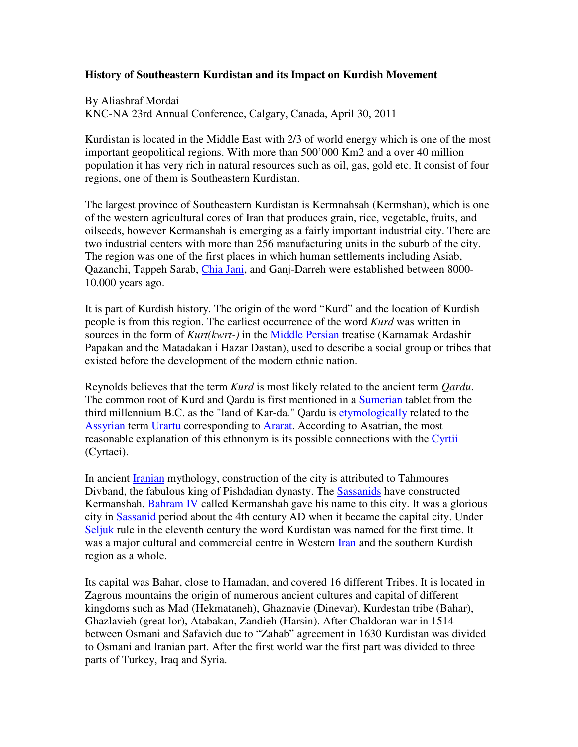## **History of Southeastern Kurdistan and its Impact on Kurdish Movement**

By Aliashraf Mordai KNC-NA 23rd Annual Conference, Calgary, Canada, April 30, 2011

Kurdistan is located in the Middle East with 2/3 of world energy which is one of the most important geopolitical regions. With more than 500'000 Km2 and a over 40 million population it has very rich in natural resources such as oil, gas, gold etc. It consist of four regions, one of them is Southeastern Kurdistan.

The largest province of Southeastern Kurdistan is Kermnahsah (Kermshan), which is one of the western agricultural cores of Iran that produces grain, rice, vegetable, fruits, and oilseeds, however Kermanshah is emerging as a fairly important industrial city. There are two industrial centers with more than 256 manufacturing units in the suburb of the city. The region was one of the first places in which human settlements including Asiab, Qazanchi, Tappeh Sarab, Chia Jani, and Ganj-Darreh were established between 8000- 10.000 years ago.

It is part of Kurdish history. The origin of the word "Kurd" and the location of Kurdish people is from this region. The earliest occurrence of the word *Kurd* was written in sources in the form of *Kurt(kwrt-)* in the Middle Persian treatise (Karnamak Ardashir Papakan and the Matadakan i Hazar Dastan), used to describe a social group or tribes that existed before the development of the modern ethnic nation.

Reynolds believes that the term *Kurd* is most likely related to the ancient term *Qardu*. The common root of Kurd and Oardu is first mentioned in a Sumerian tablet from the third millennium B.C. as the "land of Kar-da." Qardu is **etymologically** related to the Assyrian term Urartu corresponding to Ararat. According to Asatrian, the most reasonable explanation of this ethnonym is its possible connections with the Cyrtii (Cyrtaei).

In ancient Iranian mythology, construction of the city is attributed to Tahmoures Divband, the fabulous king of Pishdadian dynasty. The Sassanids have constructed Kermanshah. Bahram IV called Kermanshah gave his name to this city. It was a glorious city in Sassanid period about the 4th century AD when it became the capital city. Under Seljuk rule in the eleventh century the word Kurdistan was named for the first time. It was a major cultural and commercial centre in Western **Iran** and the southern Kurdish region as a whole.

Its capital was Bahar, close to Hamadan, and covered 16 different Tribes. It is located in Zagrous mountains the origin of numerous ancient cultures and capital of different kingdoms such as Mad (Hekmataneh), Ghaznavie (Dinevar), Kurdestan tribe (Bahar), Ghazlavieh (great lor), Atabakan, Zandieh (Harsin). After Chaldoran war in 1514 between Osmani and Safavieh due to "Zahab" agreement in 1630 Kurdistan was divided to Osmani and Iranian part. After the first world war the first part was divided to three parts of Turkey, Iraq and Syria.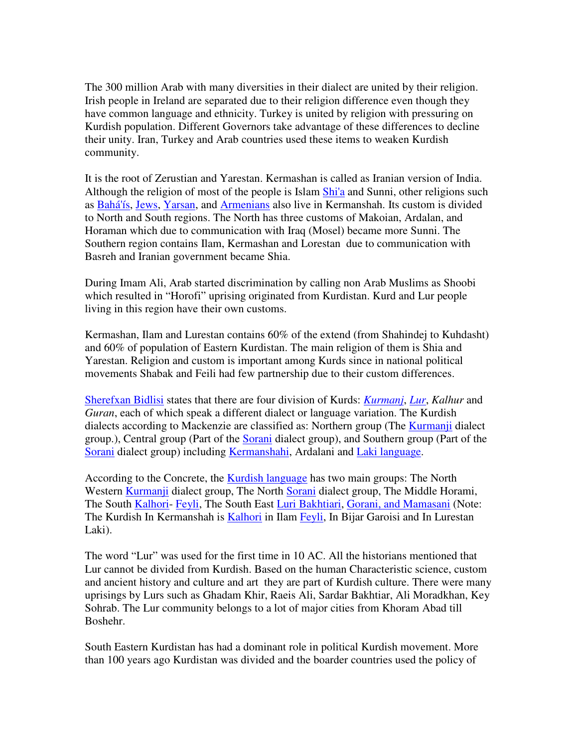The 300 million Arab with many diversities in their dialect are united by their religion. Irish people in Ireland are separated due to their religion difference even though they have common language and ethnicity. Turkey is united by religion with pressuring on Kurdish population. Different Governors take advantage of these differences to decline their unity. Iran, Turkey and Arab countries used these items to weaken Kurdish community.

It is the root of Zerustian and Yarestan. Kermashan is called as Iranian version of India. Although the religion of most of the people is Islam Shi'a and Sunni, other religions such as Bahá'ís, Jews, Yarsan, and Armenians also live in Kermanshah. Its custom is divided to North and South regions. The North has three customs of Makoian, Ardalan, and Horaman which due to communication with Iraq (Mosel) became more Sunni. The Southern region contains Ilam, Kermashan and Lorestan due to communication with Basreh and Iranian government became Shia.

During Imam Ali, Arab started discrimination by calling non Arab Muslims as Shoobi which resulted in "Horofi" uprising originated from Kurdistan. Kurd and Lur people living in this region have their own customs.

Kermashan, Ilam and Lurestan contains 60% of the extend (from Shahindej to Kuhdasht) and 60% of population of Eastern Kurdistan. The main religion of them is Shia and Yarestan. Religion and custom is important among Kurds since in national political movements Shabak and Feili had few partnership due to their custom differences.

Sherefxan Bidlisi states that there are four division of Kurds: *Kurmanj*, *Lur*, *Kalhur* and *Guran*, each of which speak a different dialect or language variation. The Kurdish dialects according to Mackenzie are classified as: Northern group (The Kurmanji dialect group.), Central group (Part of the Sorani dialect group), and Southern group (Part of the Sorani dialect group) including Kermanshahi, Ardalani and Laki language.

According to the Concrete, the Kurdish language has two main groups: The North Western Kurmanji dialect group, The North Sorani dialect group, The Middle Horami, The South Kalhori- Feyli, The South East Luri Bakhtiari, Gorani, and Mamasani (Note: The Kurdish In Kermanshah is Kalhori in Ilam Feyli, In Bijar Garoisi and In Lurestan Laki).

The word "Lur" was used for the first time in 10 AC. All the historians mentioned that Lur cannot be divided from Kurdish. Based on the human Characteristic science, custom and ancient history and culture and art they are part of Kurdish culture. There were many uprisings by Lurs such as Ghadam Khir, Raeis Ali, Sardar Bakhtiar, Ali Moradkhan, Key Sohrab. The Lur community belongs to a lot of major cities from Khoram Abad till Boshehr.

South Eastern Kurdistan has had a dominant role in political Kurdish movement. More than 100 years ago Kurdistan was divided and the boarder countries used the policy of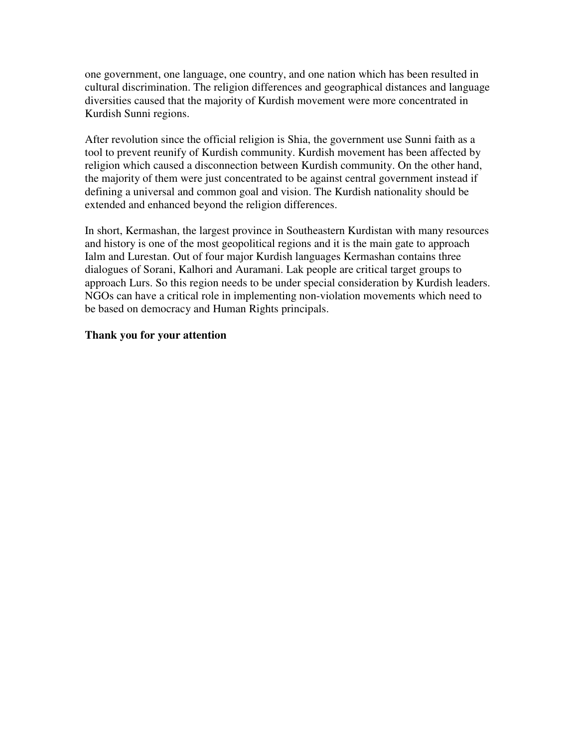one government, one language, one country, and one nation which has been resulted in cultural discrimination. The religion differences and geographical distances and language diversities caused that the majority of Kurdish movement were more concentrated in Kurdish Sunni regions.

After revolution since the official religion is Shia, the government use Sunni faith as a tool to prevent reunify of Kurdish community. Kurdish movement has been affected by religion which caused a disconnection between Kurdish community. On the other hand, the majority of them were just concentrated to be against central government instead if defining a universal and common goal and vision. The Kurdish nationality should be extended and enhanced beyond the religion differences.

In short, Kermashan, the largest province in Southeastern Kurdistan with many resources and history is one of the most geopolitical regions and it is the main gate to approach Ialm and Lurestan. Out of four major Kurdish languages Kermashan contains three dialogues of Sorani, Kalhori and Auramani. Lak people are critical target groups to approach Lurs. So this region needs to be under special consideration by Kurdish leaders. NGOs can have a critical role in implementing non-violation movements which need to be based on democracy and Human Rights principals.

## **Thank you for your attention**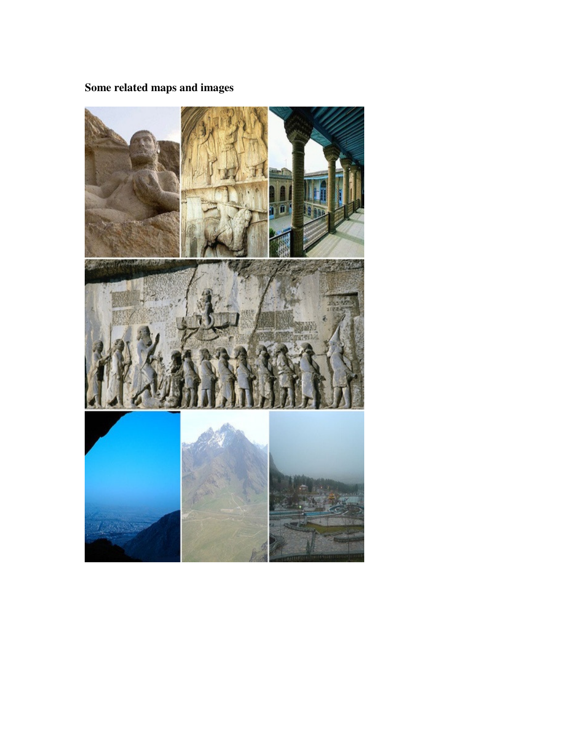## **Some related maps and images**

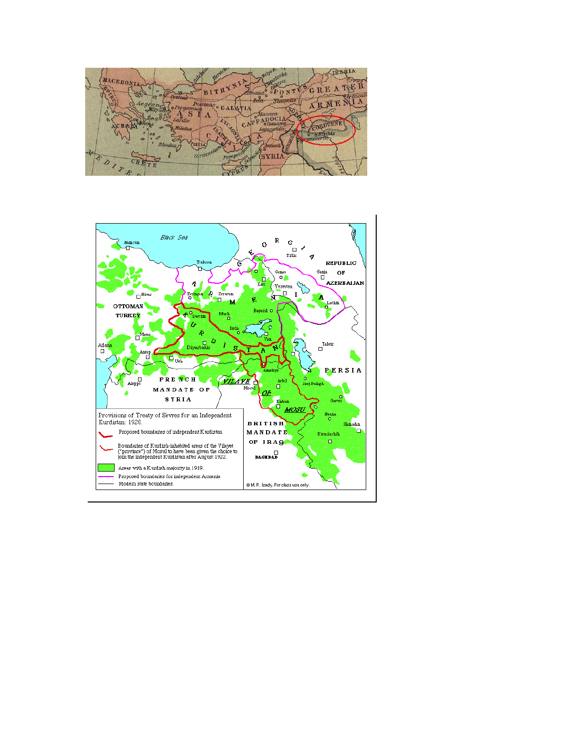